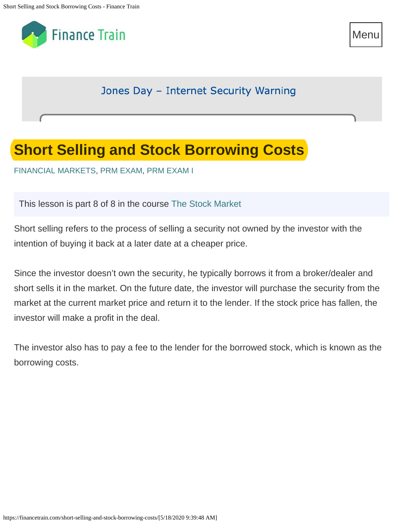

Menu Menu

Jones Day - Internet Security Warning

## **Short Selling and Stock Borrowing Costs**

[FINANCIAL MARKETS](https://financetrain.com/category/financial-markets/), [PRM EXAM,](https://financetrain.com/category/prmexam/) [PRM EXAM I](https://financetrain.com/category/prmexam/prm-exam-i/)

This lesson is part 8 of 8 in the course [The Stock Market](https://financetrain.com/series/the-stock-market/)

Short selling refers to the process of selling a security not owned by the investor with the intention of buying it back at a later date at a cheaper price.

Since the investor doesn't own the security, he typically borrows it from a broker/dealer and short sells it in the market. On the future date, the investor will purchase the security from the market at the current market price and return it to the lender. If the stock price has fallen, the investor will make a profit in the deal.

The investor also has to pay a fee to the lender for the borrowed stock, which is known as the borrowing costs.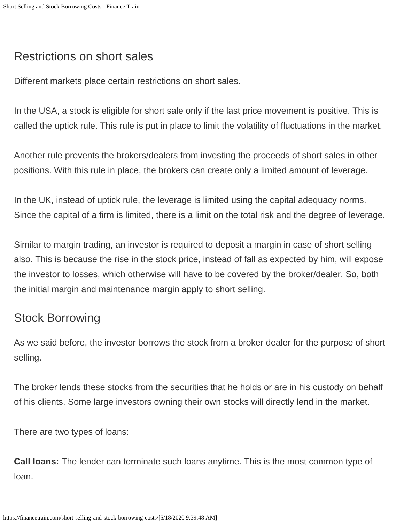## Restrictions on short sales

Different markets place certain restrictions on short sales.

In the USA, a stock is eligible for short sale only if the last price movement is positive. This is called the uptick rule. This rule is put in place to limit the volatility of fluctuations in the market.

Another rule prevents the brokers/dealers from investing the proceeds of short sales in other positions. With this rule in place, the brokers can create only a limited amount of leverage.

In the UK, instead of uptick rule, the leverage is limited using the capital adequacy norms. Since the capital of a firm is limited, there is a limit on the total risk and the degree of leverage.

Similar to margin trading, an investor is required to deposit a margin in case of short selling also. This is because the rise in the stock price, instead of fall as expected by him, will expose the investor to losses, which otherwise will have to be covered by the broker/dealer. So, both the initial margin and maintenance margin apply to short selling.

## Stock Borrowing

As we said before, the investor borrows the stock from a broker dealer for the purpose of short selling.

The broker lends these stocks from the securities that he holds or are in his custody on behalf of his clients. Some large investors owning their own stocks will directly lend in the market.

There are two types of loans:

**Call loans:** The lender can terminate such loans anytime. This is the most common type of loan.